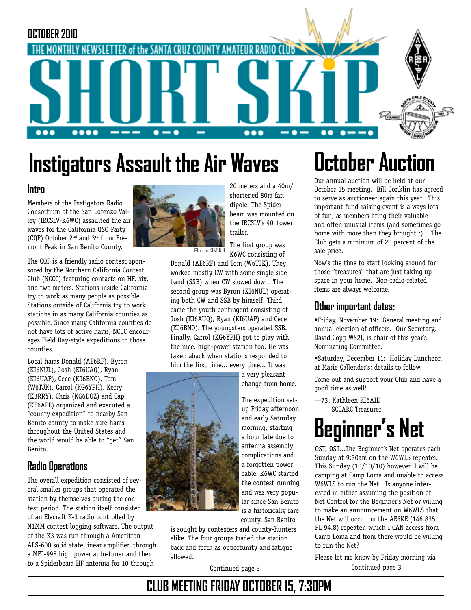

# **Instigators Assault the Air Waves betober Auction**

#### **Intro**

Members of the Instigators Radio Consortium of the San Lorenzo Valley (IRCSLV-K6WC) assaulted the air waves for the California QSO Party (CQP) October 2nd and 3rd from Fremont Peak in San Benito County.

The CQP is a friendly radio contest sponsored by the Northern California Contest Club (NCCC) featuring contacts on HF, six, and two meters. Stations inside California try to work as many people as possible. Stations outside of California try to work stations in as many California counties as possible. Since many California counties do not have lots of active hams, NCCC encourages Field Day-style expeditions to those counties.

Local hams Donald (AE6RF), Byron (KI6NUL), Josh (KI6UAQ), Ryan (KI6UAP), Cece (KJ6BNO), Tom (W6TJK), Carrol (KG6YPH), Kerry (K3RRY), Chris (KG6DOZ) and Cap (KE6AFE) organized and executed a "county expedition" to nearby San Benito county to make sure hams throughout the United States and the world would be able to "get" San Benito.

#### **Radio Operations**

The overall expedition consisted of several smaller groups that operated the station by themselves during the contest period. The station itself consisted of an Elecraft K-3 radio controlled by N1MM contest logging software. The output of the K3 was run through a Ameritron ALS-600 solid state linear amplifier, through a MFJ-998 high power auto-tuner and then to a Spiderbeam HF antenna for 10 through



20 meters and a 40m/ shortened 80m fan dipole. The Spiderbeam was mounted on the IRCSLV's 40' tower trailer.

The first group was K6WC consisting of Photo: KI6NUL

Donald (AE6RF) and Tom (W6TJK). They worked mostly CW with some single side band (SSB) when CW slowed down. The second group was Byron (KI6NUL) operating both CW and SSB by himself. Third came the youth contingent consisting of Josh (KI6AUQ), Ryan (KI6UAP) and Cece (KJ6BNO). The youngsters operated SSB. Finally, Carrol (KG6YPH) got to play with the nice, high-power station too. He was taken aback when stations responded to him the first time... every time... It was

> a very pleasant change from home.

The expedition setup Friday afternoon and early Saturday morning, starting a hour late due to antenna assembly complications and a forgotten power cable. K6WC started the contest running and was very popular since San Benito is a historically rare county. San Benito

is sought by contesters and county-hunters alike. The four groups traded the station back and forth as opportunity and fatigue allowed.

Our annual auction will be held at our October 15 meeting. Bill Conklin has agreed to serve as auctioneer again this year. This important fund-raising event is always lots of fun, as members bring their valuable and often unusual items (and sometimes go home with more than they brought ;). The Club gets a minimum of 20 percent of the sale price.

Now's the time to start looking around for those "treasures" that are just taking up space in your home. Non-radio-related items are always welcome.

#### **Other important dates:**

•Friday, November 19: General meeting and annual election of officers. Our Secretary, David Copp WS2I, is chair of this year's Nominating Committee.

•Saturday, December 11: Holiday Luncheon at Marie Callender's; details to follow.

Come out and support your Club and have a good time as well!

—73, Kathleen KI6AIE SCCARC Treasurer

# **Beginner's Net**

QST, QST...The Beginner's Net operates each Sunday at 9:30am on the W6WLS repeater. This Sunday (10/10/10) however, I will be camping at Camp Loma and unable to access W6WLS to run the Net. Is anyone interested in either assuming the position of Net Control for the Beginner's Net or willing to make an announcement on W6WLS that the Net will occur on the AE6KE (146.835 PL 94.8) repeater, which I CAN access from Camp Loma and from there would be willing to run the Net?

Continued page 3 Continued page 3 Please let me know by Friday morning via

## **CLUB MEETING FRIDAY OCTOBER 15, 7:30PM**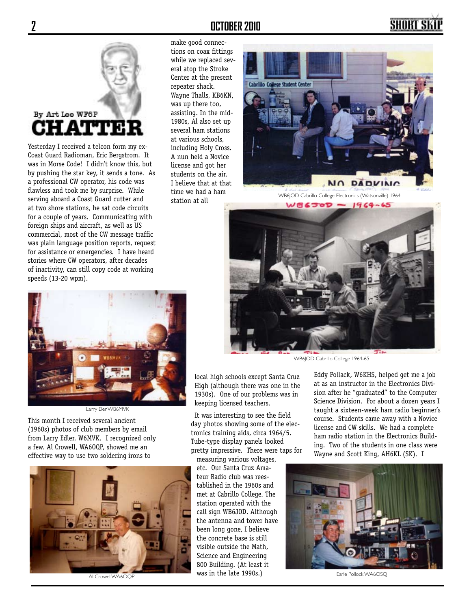# By Art Lee WF6P AЧ

Yesterday I received a telcon form my ex-Coast Guard Radioman, Eric Bergstrom. It was in Morse Code! I didn't know this, but by pushing the star key, it sends a tone. As a professional CW operator, his code was flawless and took me by surprise. While serving aboard a Coast Guard cutter and at two shore stations, he sat code circuits for a couple of years. Communicating with foreign ships and aircraft, as well as US commercial, most of the CW message traffic was plain language position reports, request for assistance or emergencies. I have heard stories where CW operators, after decades of inactivity, can still copy code at working speeds (13-20 wpm).

#### **2 OCTOBER 2010**

make good connections on coax fittings while we replaced several atop the Stroke Center at the present repeater shack. Wayne Thalls, KB6KN, was up there too, assisting. In the mid-1980s, Al also set up several ham stations at various schools, including Holy Cross. A nun held a Novice license and got her students on the air. I believe that at that time we had a ham station at all



SHORT SI

WB6JOD Cabrillo College Electronics (Watsonville) 1964



WB6JOD Cabrillo College 1964-65

local high schools except Santa Cruz High (although there was one in the 1930s). One of our problems was in keeping licensed teachers.

It was interesting to see the field day photos showing some of the electronics training aids, circa 1964/5. Tube-type display panels looked pretty impressive. There were taps for

measuring various voltages, etc. Our Santa Cruz Amateur Radio club was reestablished in the 1960s and met at Cabrillo College. The station operated with the call sign WB6JOD. Although the antenna and tower have been long gone, I believe the concrete base is still visible outside the Math, Science and Engineering 800 Building. (At least it was in the late 1990s.)

Eddy Pollack, W6KHS, helped get me a job at as an instructor in the Electronics Division after he "graduated" to the Computer Science Division. For about a dozen years I taught a sixteen-week ham radio beginner's course. Students came away with a Novice license and CW skills. We had a complete ham radio station in the Electronics Building. Two of the students in one class were Wayne and Scott King, AH6KL (SK). I



Earle Pollock WA6OSQ



Larry Eler WB6MVK

This month I received several ancient (1960s) photos of club members by email from Larry Edler, W6MVK. I recognized only a few. Al Crowell, WA6OQP, showed me an effective way to use two soldering irons to



Al Crowel WA6OQP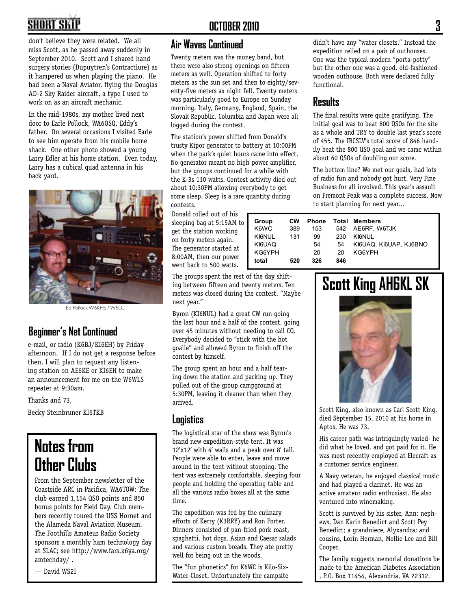# **SHORT SKI**

don't believe they were related. We all miss Scott, as he passed away suddenly in September 2010. Scott and I shared hand surgery stories (Dupuytren's Contractiure) as it hampered us when playing the piano. He had been a Naval Aviator, flying the Douglas AD-2 Sky Raider aircraft, a type I used to work on as an aircraft mechanic.

In the mid-1980s, my mother lived next door to Earle Pollock, WA6OSQ, Eddy's father. On several occasions I visited Earle to see him operate from his mobile home shack. One other photo showed a young Larry Edler at his home station. Even today, Larry has a cubical quad antenna in his back yard.



Ed Pollock W6KHS / W6LC

#### **Beginner's Net Continued**

e-mail, or radio (K6BJ/KI6EH) by Friday afternoon. If I do not get a response before then, I will plan to request any listening station on AE6KE or KI6EH to make an announcement for me on the W6WLS repeater at 9:30am.

Thanks and 73,

Becky Steinbruner KI6TKB

# **Notes from Other Clubs**

From the September newsletter of the Coastside ARC in Pacifica, WA6TOW: The club earned 1,154 QSO points and 850 bonus points for Field Day. Club members recently toured the USS Hornet and the Alameda Naval Aviation Museum. The Foothills Amateur Radio Society sponsors a monthly ham technology day at SLAC; see http://www.fars.k6ya.org/ amtechday/ .

— David WS2I

#### **Air Waves Continued**

Twenty meters was the money band, but there were also strong openings on fifteen meters as well. Operation shifted to forty meters as the sun set and then to eighty/seventy-five meters as night fell. Twenty meters was particularly good to Europe on Sunday morning. Italy, Germany, England, Spain, the Slovak Republic, Columbia and Japan were all logged during the contest.

The station's power shifted from Donald's trusty Kipor generator to battery at 10:00PM when the park's quiet hours came into effect. No generator meant no high power amplifier, but the groups continued for a while with the K-3s 110 watts. Contest activity died out about 10:30PM allowing everybody to get some sleep. Sleep is a rare quantity during contests.

Donald rolled out of his sleeping bag at 5:15AM to get the station working on forty meters again. The generator started at 8:00AM, then our power went back to 500 watts.

The groups spent the rest of the day shifting between fifteen and twenty meters. Ten meters was closed during the contest. "Maybe next year."

Byron (KI6NUL) had a great CW run going the last hour and a half of the contest, going over 45 minutes without needing to call CQ. Everybody decided to "stick with the hot goalie" and allowed Byron to finish off the contest by himself.

The group spent an hour and a half tearing down the station and packing up. They pulled out of the group campground at 5:30PM, leaving it cleaner than when they arrived.

#### **Logistics**

The logistical star of the show was Byron's brand new expedition-style tent. It was 12'x12' with 4' walls and a peak over 8' tall. People were able to enter, leave and move around in the tent without stooping. The tent was extremely comfortable, sleeping four people and holding the operating table and all the various radio boxes all at the same time.

The expedition was fed by the culinary efforts of Kerry (K3RRY) and Ron Porter. Dinners consisted of pan-fried pork roast, spaghetti, hot dogs, Asian and Caesar salads and various custom breads. They ate pretty well for being out in the woods.

The "fun phonetics" for K6WC is Kilo-Six-Water-Closet. Unfortunately the campsite

didn't have any "water closets." Instead the expedition relied on a pair of outhouses. One was the typical modern "porta-potty" but the other one was a good, old-fashioned wooden outhouse. Both were declared fully functional.

#### **Results**

The final results were quite gratifying. The initial goal was to beat 800 QSOs for the site as a whole and TRY to double last year's score of 455. The IRCSLV's total score of 846 handily beat the 800 QSO goal and we came within about 60 QSOs of doubling our score.

The bottom line? We met our goals, had lots of radio fun and nobody got hurt. Very Fine Business for all involved. This year's assault on Fremont Peak was a complete success. Now to start planning for next year...

| Group<br>K6WC<br>KI6NUL.<br>KI6UAQ | <b>CW</b><br>389<br>131 | Phone<br>153<br>99<br>54 | 230<br>54 | <b>Total Members</b><br>542 AE6RF. W6TJK<br>KI6NUL<br>KI6UAQ, KI6UAP, KJ6BNO |
|------------------------------------|-------------------------|--------------------------|-----------|------------------------------------------------------------------------------|
| KG6YPH                             |                         | 20                       | 20        | KG6YPH                                                                       |
| total                              | 520                     | 326                      | 846       |                                                                              |

### **Scott King AH6KL SK**



Scott King, also known as Carl Scott King, died September 15, 2010 at his home in Aptos. He was 73.

His career path was intriguingly varied- he did what he loved, and got paid for it. He was most recently employed at Elecraft as a customer service engineer.

A Navy veteran, he enjoyed classical music and had played a clarinet. He was an active amateur radio enthusiast. He also ventured into winemaking.

Scott is survived by his sister, Ann: nephews, Dan Karin Benedict and Scott Pey Benedict; a grandniece, Alyxandra; and cousins, Lorin Herman, Mollie Lee and Bill Cooper.

The family suggests memorial donations be made to the American Diabetes Association , P.O. Box 11454, Alexandria, VA 22312.